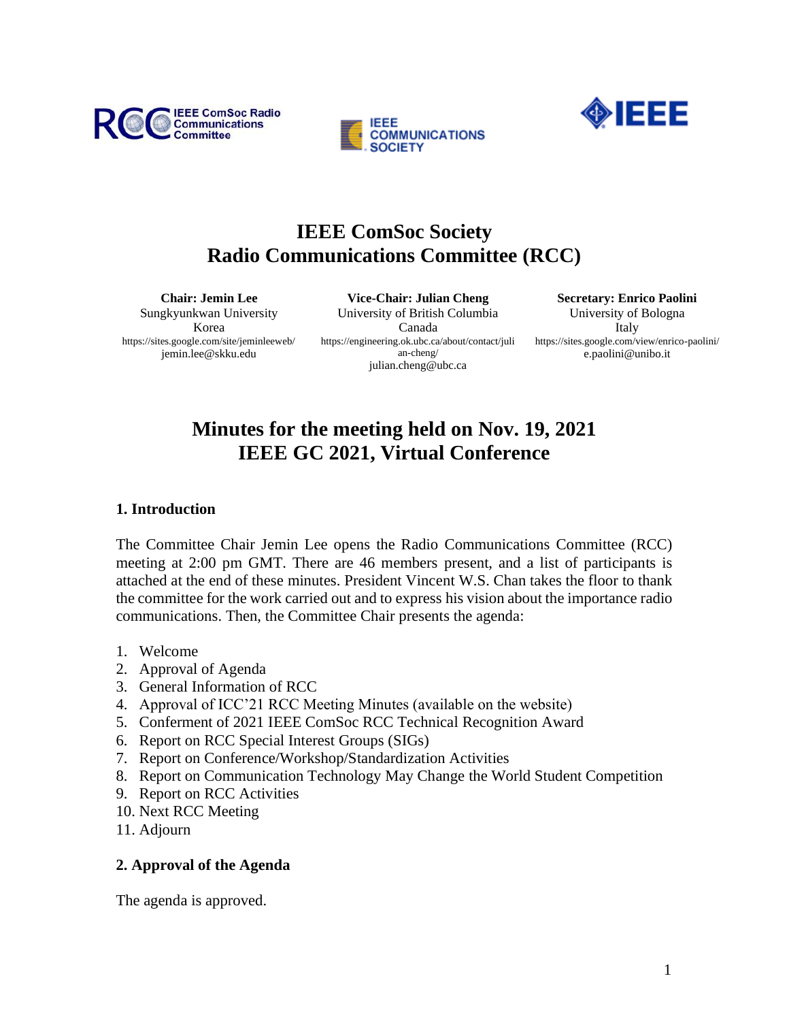





# **IEEE ComSoc Society Radio Communications Committee (RCC)**

**Chair: Jemin Lee** Sungkyunkwan University Korea https://sites.google.com/site/jeminleeweb/ jemin.lee@skku.edu

**Vice-Chair: Julian Cheng** University of British Columbia Canada https://engineering.ok.ubc.ca/about/contact/juli an-cheng/ julian.cheng@ubc.ca

**Secretary: Enrico Paolini** University of Bologna Italy https://sites.google.com/view/enrico-paolini/ e.paolini@unibo.it

# **Minutes for the meeting held on Nov. 19, 2021 IEEE GC 2021, Virtual Conference**

#### **1. Introduction**

The Committee Chair Jemin Lee opens the Radio Communications Committee (RCC) meeting at 2:00 pm GMT. There are 46 members present, and a list of participants is attached at the end of these minutes. President Vincent W.S. Chan takes the floor to thank the committee for the work carried out and to express his vision about the importance radio communications. Then, the Committee Chair presents the agenda:

- 1. Welcome
- 2. Approval of Agenda
- 3. General Information of RCC
- 4. Approval of ICC'21 RCC Meeting Minutes (available on the website)
- 5. Conferment of 2021 IEEE ComSoc RCC Technical Recognition Award
- 6. Report on RCC Special Interest Groups (SIGs)
- 7. Report on Conference/Workshop/Standardization Activities
- 8. Report on Communication Technology May Change the World Student Competition
- 9. Report on RCC Activities
- 10. Next RCC Meeting
- 11. Adjourn

## **2. Approval of the Agenda**

The agenda is approved.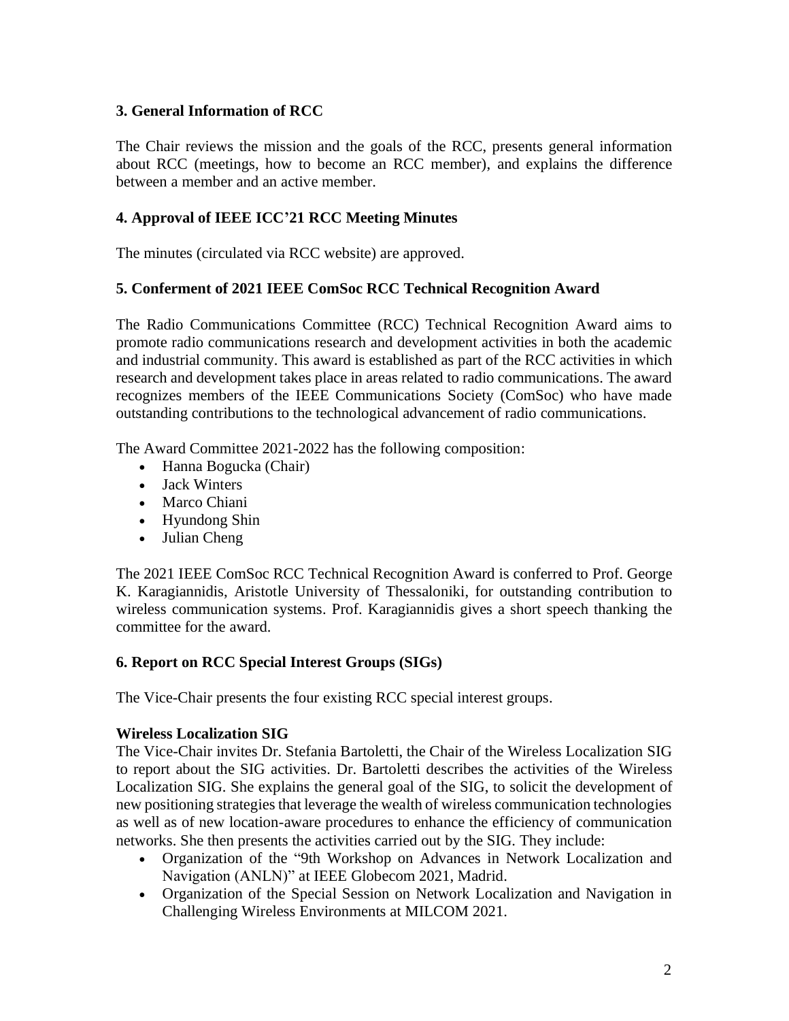## **3. General Information of RCC**

The Chair reviews the mission and the goals of the RCC, presents general information about RCC (meetings, how to become an RCC member), and explains the difference between a member and an active member.

# **4. Approval of IEEE ICC'21 RCC Meeting Minutes**

The minutes (circulated via RCC website) are approved.

## **5. Conferment of 2021 IEEE ComSoc RCC Technical Recognition Award**

The Radio Communications Committee (RCC) Technical Recognition Award aims to promote radio communications research and development activities in both the academic and industrial community. This award is established as part of the RCC activities in which research and development takes place in areas related to radio communications. The award recognizes members of the IEEE Communications Society (ComSoc) who have made outstanding contributions to the technological advancement of radio communications.

The Award Committee 2021-2022 has the following composition:

- Hanna Bogucka (Chair)
- Jack Winters
- Marco Chiani
- Hyundong Shin
- Julian Cheng

The 2021 IEEE ComSoc RCC Technical Recognition Award is conferred to Prof. George K. Karagiannidis, Aristotle University of Thessaloniki, for outstanding contribution to wireless communication systems. Prof. Karagiannidis gives a short speech thanking the committee for the award.

## **6. Report on RCC Special Interest Groups (SIGs)**

The Vice-Chair presents the four existing RCC special interest groups.

## **Wireless Localization SIG**

The Vice-Chair invites Dr. Stefania Bartoletti, the Chair of the Wireless Localization SIG to report about the SIG activities. Dr. Bartoletti describes the activities of the Wireless Localization SIG. She explains the general goal of the SIG, to solicit the development of new positioning strategies that leverage the wealth of wireless communication technologies as well as of new location-aware procedures to enhance the efficiency of communication networks. She then presents the activities carried out by the SIG. They include:

- Organization of the "9th Workshop on Advances in Network Localization and Navigation (ANLN)" at IEEE Globecom 2021, Madrid.
- Organization of the Special Session on Network Localization and Navigation in Challenging Wireless Environments at MILCOM 2021.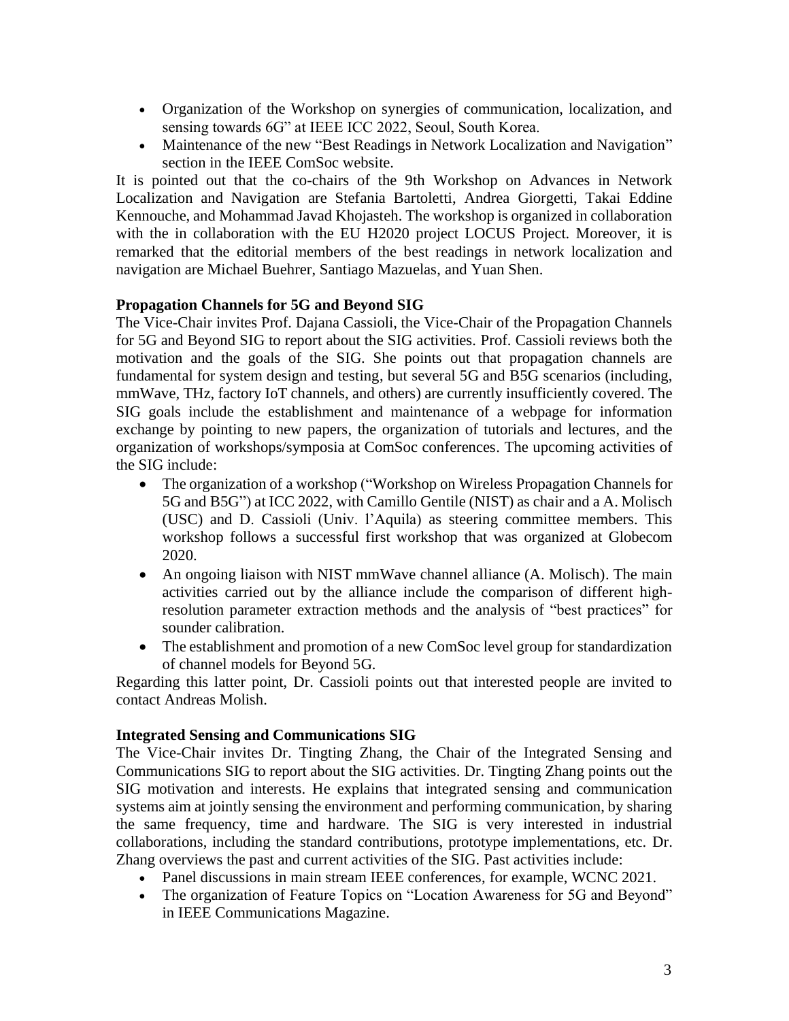- Organization of the Workshop on synergies of communication, localization, and sensing towards 6G" at IEEE ICC 2022, Seoul, South Korea.
- Maintenance of the new "Best Readings in Network Localization and Navigation" section in the IEEE ComSoc website.

It is pointed out that the co-chairs of the 9th Workshop on Advances in Network Localization and Navigation are Stefania Bartoletti, Andrea Giorgetti, Takai Eddine Kennouche, and Mohammad Javad Khojasteh. The workshop is organized in collaboration with the in collaboration with the EU H2020 project LOCUS Project. Moreover, it is remarked that the editorial members of the best readings in network localization and navigation are Michael Buehrer, Santiago Mazuelas, and Yuan Shen.

## **Propagation Channels for 5G and Beyond SIG**

The Vice-Chair invites Prof. Dajana Cassioli, the Vice-Chair of the Propagation Channels for 5G and Beyond SIG to report about the SIG activities. Prof. Cassioli reviews both the motivation and the goals of the SIG. She points out that propagation channels are fundamental for system design and testing, but several 5G and B5G scenarios (including, mmWave, THz, factory IoT channels, and others) are currently insufficiently covered. The SIG goals include the establishment and maintenance of a webpage for information exchange by pointing to new papers, the organization of tutorials and lectures, and the organization of workshops/symposia at ComSoc conferences. The upcoming activities of the SIG include:

- The organization of a workshop ("Workshop on Wireless Propagation Channels for 5G and B5G") at ICC 2022, with Camillo Gentile (NIST) as chair and a A. Molisch (USC) and D. Cassioli (Univ. l'Aquila) as steering committee members. This workshop follows a successful first workshop that was organized at Globecom 2020.
- An ongoing liaison with NIST mmWave channel alliance (A. Molisch). The main activities carried out by the alliance include the comparison of different highresolution parameter extraction methods and the analysis of "best practices" for sounder calibration.
- The establishment and promotion of a new ComSoc level group for standardization of channel models for Beyond 5G.

Regarding this latter point, Dr. Cassioli points out that interested people are invited to contact Andreas Molish.

#### **Integrated Sensing and Communications SIG**

The Vice-Chair invites Dr. Tingting Zhang, the Chair of the Integrated Sensing and Communications SIG to report about the SIG activities. Dr. Tingting Zhang points out the SIG motivation and interests. He explains that integrated sensing and communication systems aim at jointly sensing the environment and performing communication, by sharing the same frequency, time and hardware. The SIG is very interested in industrial collaborations, including the standard contributions, prototype implementations, etc. Dr. Zhang overviews the past and current activities of the SIG. Past activities include:

- Panel discussions in main stream IEEE conferences, for example, WCNC 2021.
- The organization of Feature Topics on "Location Awareness for 5G and Beyond" in IEEE Communications Magazine.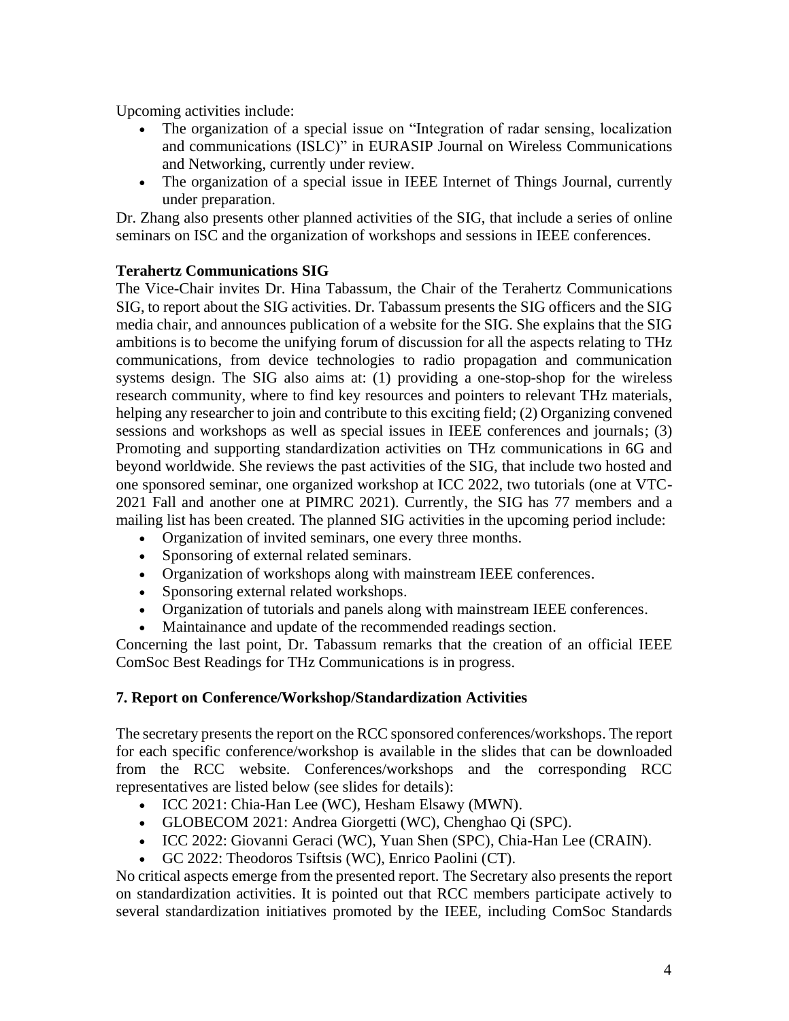Upcoming activities include:

- The organization of a special issue on "Integration of radar sensing, localization and communications (ISLC)" in EURASIP Journal on Wireless Communications and Networking, currently under review.
- The organization of a special issue in IEEE Internet of Things Journal, currently under preparation.

Dr. Zhang also presents other planned activities of the SIG, that include a series of online seminars on ISC and the organization of workshops and sessions in IEEE conferences.

#### **Terahertz Communications SIG**

The Vice-Chair invites Dr. Hina Tabassum, the Chair of the Terahertz Communications SIG, to report about the SIG activities. Dr. Tabassum presents the SIG officers and the SIG media chair, and announces publication of a website for the SIG. She explains that the SIG ambitions is to become the unifying forum of discussion for all the aspects relating to THz communications, from device technologies to radio propagation and communication systems design. The SIG also aims at: (1) providing a one-stop-shop for the wireless research community, where to find key resources and pointers to relevant THz materials, helping any researcher to join and contribute to this exciting field; (2) Organizing convened sessions and workshops as well as special issues in IEEE conferences and journals; (3) Promoting and supporting standardization activities on THz communications in 6G and beyond worldwide. She reviews the past activities of the SIG, that include two hosted and one sponsored seminar, one organized workshop at ICC 2022, two tutorials (one at VTC-2021 Fall and another one at PIMRC 2021). Currently, the SIG has 77 members and a mailing list has been created. The planned SIG activities in the upcoming period include:

- Organization of invited seminars, one every three months.
- Sponsoring of external related seminars.
- Organization of workshops along with mainstream IEEE conferences.
- Sponsoring external related workshops.
- Organization of tutorials and panels along with mainstream IEEE conferences.
- Maintainance and update of the recommended readings section.

Concerning the last point, Dr. Tabassum remarks that the creation of an official IEEE ComSoc Best Readings for THz Communications is in progress.

#### **7. Report on Conference/Workshop/Standardization Activities**

The secretary presents the report on the RCC sponsored conferences/workshops. The report for each specific conference/workshop is available in the slides that can be downloaded from the RCC website. Conferences/workshops and the corresponding RCC representatives are listed below (see slides for details):

- ICC 2021: Chia-Han Lee (WC), Hesham Elsawy (MWN).
- GLOBECOM 2021: Andrea Giorgetti (WC), Chenghao Qi (SPC).
- ICC 2022: Giovanni Geraci (WC), Yuan Shen (SPC), Chia-Han Lee (CRAIN).
- GC 2022: Theodoros Tsiftsis (WC), Enrico Paolini (CT).

No critical aspects emerge from the presented report. The Secretary also presents the report on standardization activities. It is pointed out that RCC members participate actively to several standardization initiatives promoted by the IEEE, including ComSoc Standards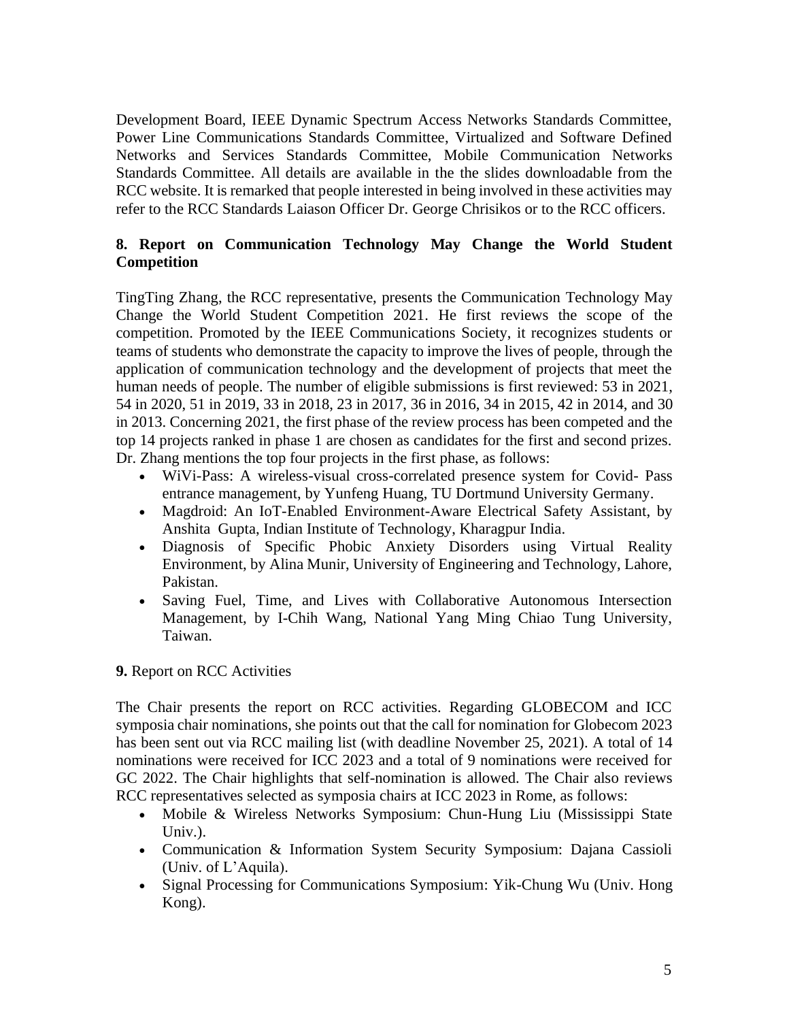Development Board, IEEE Dynamic Spectrum Access Networks Standards Committee, Power Line Communications Standards Committee, Virtualized and Software Defined Networks and Services Standards Committee, Mobile Communication Networks Standards Committee. All details are available in the the slides downloadable from the RCC website. It is remarked that people interested in being involved in these activities may refer to the RCC Standards Laiason Officer Dr. George Chrisikos or to the RCC officers.

## **8. Report on Communication Technology May Change the World Student Competition**

TingTing Zhang, the RCC representative, presents the Communication Technology May Change the World Student Competition 2021. He first reviews the scope of the competition. Promoted by the IEEE Communications Society, it recognizes students or teams of students who demonstrate the capacity to improve the lives of people, through the application of communication technology and the development of projects that meet the human needs of people. The number of eligible submissions is first reviewed: 53 in 2021, 54 in 2020, 51 in 2019, 33 in 2018, 23 in 2017, 36 in 2016, 34 in 2015, 42 in 2014, and 30 in 2013. Concerning 2021, the first phase of the review process has been competed and the top 14 projects ranked in phase 1 are chosen as candidates for the first and second prizes. Dr. Zhang mentions the top four projects in the first phase, as follows:

- WiVi-Pass: A wireless-visual cross-correlated presence system for Covid- Pass entrance management, by Yunfeng Huang, TU Dortmund University Germany.
- Magdroid: An IoT-Enabled Environment-Aware Electrical Safety Assistant, by Anshita Gupta, Indian Institute of Technology, Kharagpur India.
- Diagnosis of Specific Phobic Anxiety Disorders using Virtual Reality Environment, by Alina Munir, University of Engineering and Technology, Lahore, Pakistan.
- Saving Fuel, Time, and Lives with Collaborative Autonomous Intersection Management, by I-Chih Wang, National Yang Ming Chiao Tung University, Taiwan.

## **9.** Report on RCC Activities

The Chair presents the report on RCC activities. Regarding GLOBECOM and ICC symposia chair nominations, she points out that the call for nomination for Globecom 2023 has been sent out via RCC mailing list (with deadline November 25, 2021). A total of 14 nominations were received for ICC 2023 and a total of 9 nominations were received for GC 2022. The Chair highlights that self-nomination is allowed. The Chair also reviews RCC representatives selected as symposia chairs at ICC 2023 in Rome, as follows:

- Mobile & Wireless Networks Symposium: Chun-Hung Liu (Mississippi State Univ.).
- Communication & Information System Security Symposium: Dajana Cassioli (Univ. of L'Aquila).
- Signal Processing for Communications Symposium: Yik-Chung Wu (Univ. Hong Kong).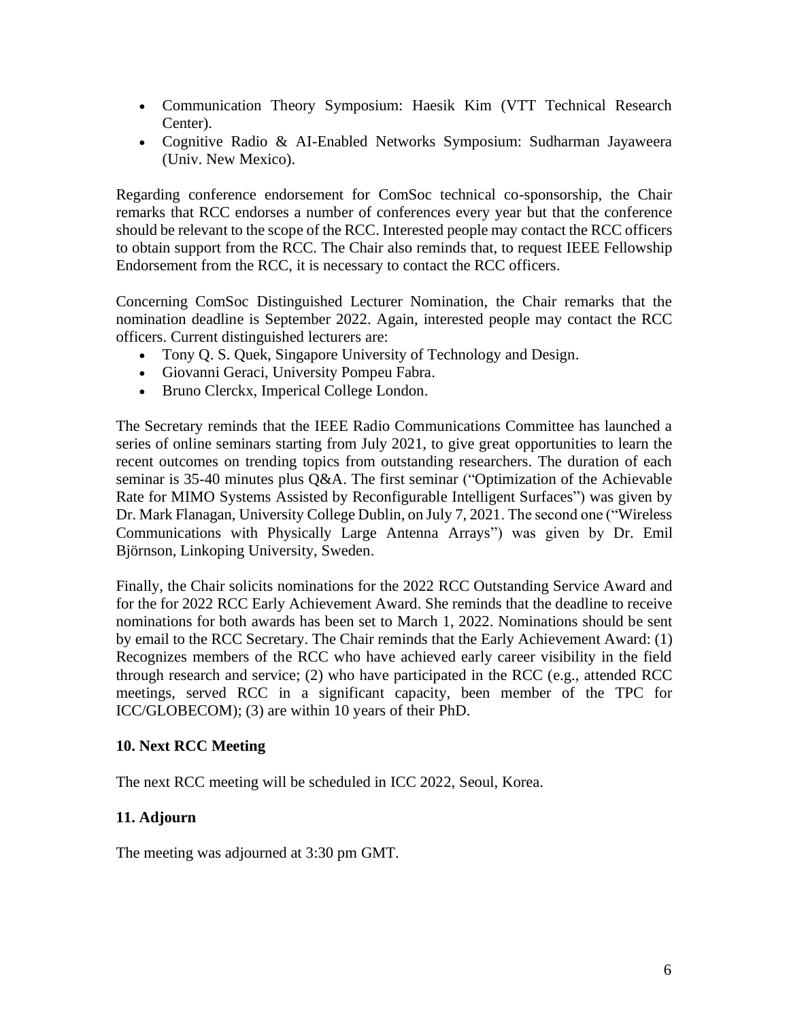- Communication Theory Symposium: Haesik Kim (VTT Technical Research Center).
- Cognitive Radio & AI-Enabled Networks Symposium: Sudharman Jayaweera (Univ. New Mexico).

Regarding conference endorsement for ComSoc technical co-sponsorship, the Chair remarks that RCC endorses a number of conferences every year but that the conference should be relevant to the scope of the RCC. Interested people may contact the RCC officers to obtain support from the RCC. The Chair also reminds that, to request IEEE Fellowship Endorsement from the RCC, it is necessary to contact the RCC officers.

Concerning ComSoc Distinguished Lecturer Nomination, the Chair remarks that the nomination deadline is September 2022. Again, interested people may contact the RCC officers. Current distinguished lecturers are:

- Tony Q. S. Quek, Singapore University of Technology and Design.
- Giovanni Geraci, University Pompeu Fabra.
- Bruno Clerckx, Imperical College London.

The Secretary reminds that the IEEE Radio Communications Committee has launched a series of online seminars starting from July 2021, to give great opportunities to learn the recent outcomes on trending topics from outstanding researchers. The duration of each seminar is 35-40 minutes plus Q&A. The first seminar ("Optimization of the Achievable Rate for MIMO Systems Assisted by Reconfigurable Intelligent Surfaces") was given by Dr. Mark Flanagan, University College Dublin, on July 7, 2021. The second one ("Wireless Communications with Physically Large Antenna Arrays") was given by Dr. Emil Björnson, Linkoping University, Sweden.

Finally, the Chair solicits nominations for the 2022 RCC Outstanding Service Award and for the for 2022 RCC Early Achievement Award. She reminds that the deadline to receive nominations for both awards has been set to March 1, 2022. Nominations should be sent by email to the RCC Secretary. The Chair reminds that the Early Achievement Award: (1) Recognizes members of the RCC who have achieved early career visibility in the field through research and service; (2) who have participated in the RCC (e.g., attended RCC meetings, served RCC in a significant capacity, been member of the TPC for ICC/GLOBECOM); (3) are within 10 years of their PhD.

#### **10. Next RCC Meeting**

The next RCC meeting will be scheduled in ICC 2022, Seoul, Korea.

#### **11. Adjourn**

The meeting was adjourned at 3:30 pm GMT.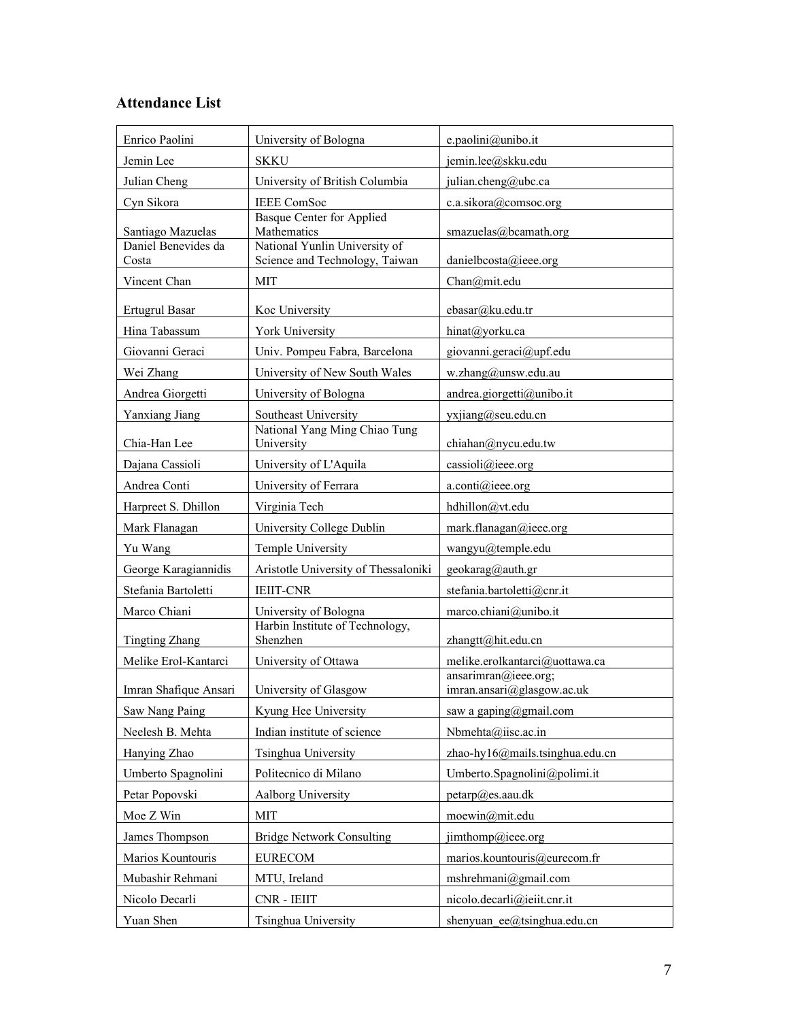# **Attendance List**

| Enrico Paolini                           | University of Bologna                        | e.paolini@unibo.it                                 |
|------------------------------------------|----------------------------------------------|----------------------------------------------------|
| Jemin Lee                                | <b>SKKU</b>                                  | jemin.lee@skku.edu                                 |
| Julian Cheng                             | University of British Columbia               | julian.cheng@ubc.ca                                |
| Cyn Sikora                               | <b>IEEE</b> ComSoc                           | c.a.sikora@comsoc.org                              |
|                                          | <b>Basque Center for Applied</b>             |                                                    |
| Santiago Mazuelas<br>Daniel Benevides da | Mathematics<br>National Yunlin University of | smazuelas@bcamath.org                              |
| Costa                                    | Science and Technology, Taiwan               | danielbcosta@ieee.org                              |
| Vincent Chan                             | <b>MIT</b>                                   | Chan@mit.edu                                       |
| <b>Ertugrul Basar</b>                    | Koc University                               | ebasar@ku.edu.tr                                   |
| Hina Tabassum                            | York University                              | hinat@yorku.ca                                     |
| Giovanni Geraci                          | Univ. Pompeu Fabra, Barcelona                | giovanni.geraci@upf.edu                            |
| Wei Zhang                                | University of New South Wales                | w.zhang@unsw.edu.au                                |
| Andrea Giorgetti                         | University of Bologna                        | andrea.giorgetti@unibo.it                          |
| Yanxiang Jiang                           | Southeast University                         | yxjiang@seu.edu.cn                                 |
| Chia-Han Lee                             | National Yang Ming Chiao Tung<br>University  | chiahan@nycu.edu.tw                                |
| Dajana Cassioli                          | University of L'Aquila                       | cassioli@ieee.org                                  |
| Andrea Conti                             | University of Ferrara                        | a.conti@ieee.org                                   |
| Harpreet S. Dhillon                      | Virginia Tech                                | hdhillon@vt.edu                                    |
| Mark Flanagan                            | University College Dublin                    | mark.flanagan@ieee.org                             |
| Yu Wang                                  | Temple University                            | wangyu@temple.edu                                  |
| George Karagiannidis                     | Aristotle University of Thessaloniki         | geokarag@auth.gr                                   |
| Stefania Bartoletti                      | <b>IEIIT-CNR</b>                             | stefania.bartoletti@cnr.it                         |
| Marco Chiani                             | University of Bologna                        | marco.chiani@unibo.it                              |
| <b>Tingting Zhang</b>                    | Harbin Institute of Technology,<br>Shenzhen  | zhangtt@hit.edu.cn                                 |
| Melike Erol-Kantarci                     | University of Ottawa                         | melike.erolkantarci@uottawa.ca                     |
| Imran Shafique Ansari                    | University of Glasgow                        | ansarimran@ieee.org;<br>imran.ansari@glasgow.ac.uk |
| Saw Nang Paing                           | Kyung Hee University                         | saw a gaping@gmail.com                             |
| Neelesh B. Mehta                         | Indian institute of science                  | Nbmehta@iisc.ac.in                                 |
| Hanying Zhao                             | Tsinghua University                          | zhao-hy16@mails.tsinghua.edu.cn                    |
| Umberto Spagnolini                       | Politecnico di Milano                        | Umberto.Spagnolini@polimi.it                       |
| Petar Popovski                           | Aalborg University                           | $petarp@e$ s.aau.dk                                |
| Moe Z Win                                | MIT                                          | moewin@mit.edu                                     |
| James Thompson                           | <b>Bridge Network Consulting</b>             | jimthomp@ieee.org                                  |
| Marios Kountouris                        | <b>EURECOM</b>                               | marios.kountouris@eurecom.fr                       |
| Mubashir Rehmani                         | MTU, Ireland                                 | mshrehmani@gmail.com                               |
| Nicolo Decarli                           | CNR - IEIIT                                  | nicolo.decarli@ieiit.cnr.it                        |
| Yuan Shen                                | Tsinghua University                          | shenyuan ee@tsinghua.edu.cn                        |